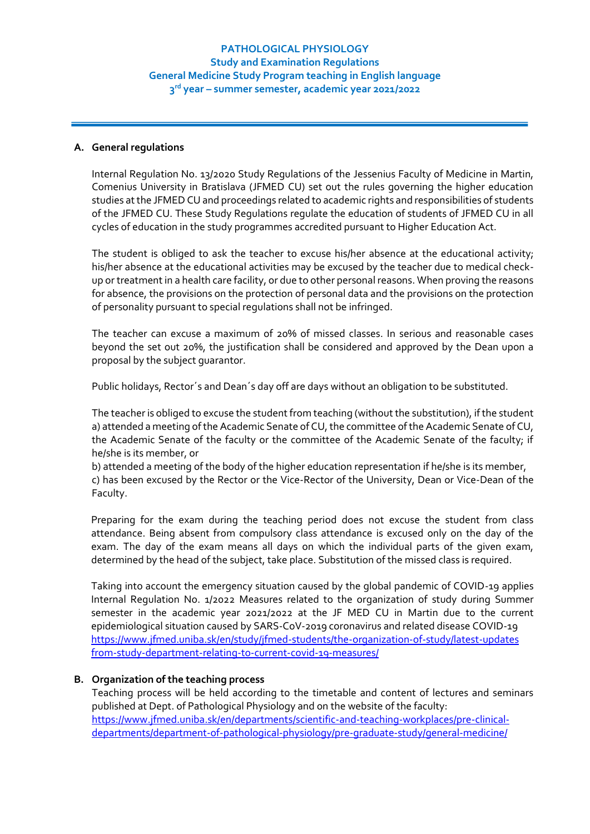## **A. General regulations**

Internal Regulation No. 13/2020 Study Regulations of the Jessenius Faculty of Medicine in Martin, Comenius University in Bratislava (JFMED CU) set out the rules governing the higher education studies at the JFMED CU and proceedings related to academic rights and responsibilities of students of the JFMED CU. These Study Regulations regulate the education of students of JFMED CU in all cycles of education in the study programmes accredited pursuant to Higher Education Act.

The student is obliged to ask the teacher to excuse his/her absence at the educational activity; his/her absence at the educational activities may be excused by the teacher due to medical checkup or treatment in a health care facility, or due to other personal reasons. When proving the reasons for absence, the provisions on the protection of personal data and the provisions on the protection of personality pursuant to special regulations shall not be infringed.

The teacher can excuse a maximum of 20% of missed classes. In serious and reasonable cases beyond the set out 20%, the justification shall be considered and approved by the Dean upon a proposal by the subject guarantor.

Public holidays, Rector´s and Dean´s day off are days without an obligation to be substituted.

The teacher is obliged to excuse the student from teaching (without the substitution), if the student a) attended a meeting of the Academic Senate of CU, the committee of the Academic Senate of CU, the Academic Senate of the faculty or the committee of the Academic Senate of the faculty; if he/she is its member, or

b) attended a meeting of the body of the higher education representation if he/she is its member, c) has been excused by the Rector or the Vice-Rector of the University, Dean or Vice-Dean of the Faculty.

Preparing for the exam during the teaching period does not excuse the student from class attendance. Being absent from compulsory class attendance is excused only on the day of the exam. The day of the exam means all days on which the individual parts of the given exam, determined by the head of the subject, take place. Substitution of the missed class is required.

Taking into account the emergency situation caused by the global pandemic of COVID-19 applies Internal Regulation No. 1/2022 Measures related to the organization of study during Summer semester in the academic year 2021/2022 at the JF MED CU in Martin due to the current epidemiological situation caused by SARS-CoV-2019 coronavirus and related disease COVID-19 [https://www.jfmed.uniba.sk/en/study/jfmed-students/the-organization-of-study/latest-updates](https://www.jfmed.uniba.sk/en/study/jfmed-students/the-organization-of-study/latest-updates%20from-study-department-relating-to-current-covid-19-measures/)  [from-study-department-relating-to-current-covid-19-measures/](https://www.jfmed.uniba.sk/en/study/jfmed-students/the-organization-of-study/latest-updates%20from-study-department-relating-to-current-covid-19-measures/)

#### **B. Organization of the teaching process**

Teaching process will be held according to the timetable and content of lectures and seminars published at Dept. of Pathological Physiology and on the website of the faculty: [https://www.jfmed.uniba.sk/en/departments/scientific-and-teaching-workplaces/pre-clinical](https://www.jfmed.uniba.sk/en/departments/scientific-and-teaching-workplaces/pre-clinical-departments/department-of-pathological-physiology/pre-graduate-study/general-medicine/)[departments/department-of-pathological-physiology/pre-graduate-study/general-medicine/](https://www.jfmed.uniba.sk/en/departments/scientific-and-teaching-workplaces/pre-clinical-departments/department-of-pathological-physiology/pre-graduate-study/general-medicine/)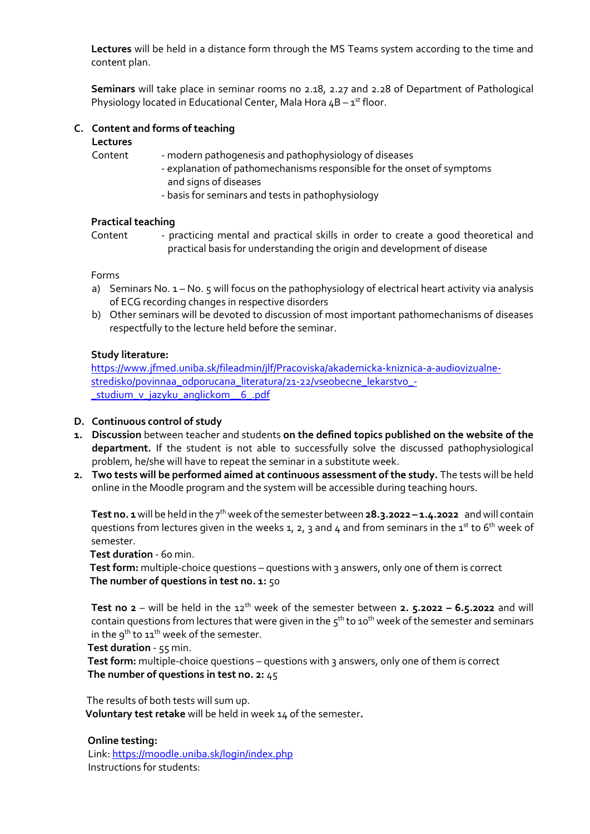**Lectures** will be held in a distance form through the MS Teams system according to the time and content plan.

**Seminars** will take place in seminar rooms no 2.18, 2.27 and 2.28 of Department of Pathological Physiology located in Educational Center, Mala Hora  $4B - 1^{st}$  floor.

## **C. Content and forms of teaching**

### **Lectures**

- Content modern pathogenesis and pathophysiology of diseases
	- explanation of pathomechanisms responsible for the onset of symptoms and signs of diseases
	- basis for seminars and tests in pathophysiology

### **Practical teaching**

Content - practicing mental and practical skills in order to create a good theoretical and practical basis for understanding the origin and development of disease

Forms

- a) Seminars No. 1 No. 5 will focus on the pathophysiology of electrical heart activity via analysis of ECG recording changes in respective disorders
- b) Other seminars will be devoted to discussion of most important pathomechanisms of diseases respectfully to the lecture held before the seminar.

# **Study literature:**

[https://www.jfmed.uniba.sk/fileadmin/jlf/Pracoviska/akademicka-kniznica-a-audiovizualne](https://www.jfmed.uniba.sk/fileadmin/jlf/Pracoviska/akademicka-kniznica-a-audiovizualne-stredisko/povinnaa_odporucana_literatura/21-22/vseobecne_lekarstvo_-_studium_v_jazyku_anglickom__6_.pdf)[stredisko/povinnaa\\_odporucana\\_literatura/21-22/vseobecne\\_lekarstvo\\_-](https://www.jfmed.uniba.sk/fileadmin/jlf/Pracoviska/akademicka-kniznica-a-audiovizualne-stredisko/povinnaa_odporucana_literatura/21-22/vseobecne_lekarstvo_-_studium_v_jazyku_anglickom__6_.pdf) [\\_studium\\_v\\_jazyku\\_anglickom\\_\\_6\\_.pdf](https://www.jfmed.uniba.sk/fileadmin/jlf/Pracoviska/akademicka-kniznica-a-audiovizualne-stredisko/povinnaa_odporucana_literatura/21-22/vseobecne_lekarstvo_-_studium_v_jazyku_anglickom__6_.pdf)

## **D. Continuous control of study**

- **1. Discussion** between teacher and students **on the defined topics published on the website of the department.** If the student is not able to successfully solve the discussed pathophysiological problem, he/she will have to repeat the seminar in a substitute week.
- **2. Two tests will be performed aimed at continuous assessment of the study.** The tests will be held online in the Moodle program and the system will be accessible during teaching hours.

**Test no. 1** will be held in the 7 th week of the semester between **28.3.2022 – 1.4.2022** andwill contain questions from lectures given in the weeks 1, 2, 3 and 4 and from seminars in the 1st to 6<sup>th</sup> week of semester.

 **Test duration** - 60 min.

Test form: multiple-choice questions - questions with 3 answers, only one of them is correct  **The number of questions in test no. 1:** 50

**Test no 2** – will be held in the  $12^{th}$  week of the semester between **2.** 5.2022 – 6.5.2022 and will contain questions from lectures that were given in the  $5^{\text{th}}$  to 10<sup>th</sup> week of the semester and seminars in the  $9^{th}$  to  $11^{th}$  week of the semester.

 **Test duration** - 55 min.

Test form: multiple-choice questions – questions with 3 answers, only one of them is correct  **The number of questions in test no. 2:** 45

The results of both tests will sum up.

 **Voluntary test retake** will be held in week 14 of the semester**.**

#### **Online testing:**

 Link[: https://moodle.uniba.sk/login/index.php](https://moodle.uniba.sk/login/index.php) Instructions for students: